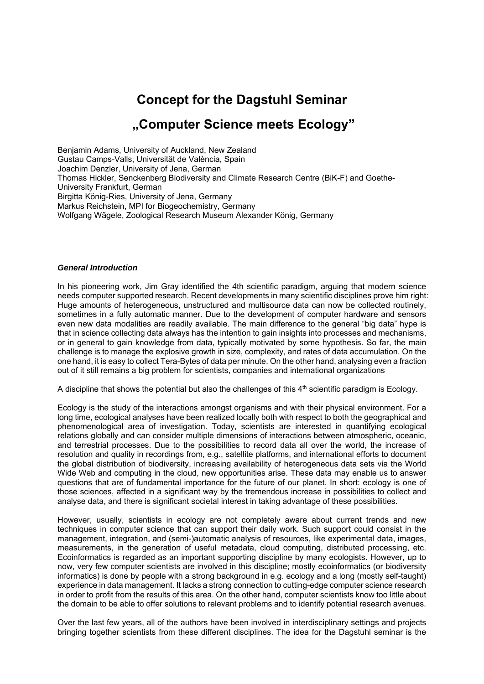# **Concept for the Dagstuhl Seminar**

# **"Computer Science meets Ecology"**

Benjamin Adams, University of Auckland, New Zealand Gustau Camps-Valls, Universität de València, Spain Joachim Denzler, University of Jena, German Thomas Hickler, Senckenberg Biodiversity and Climate Research Centre (BiK-F) and Goethe-University Frankfurt, German Birgitta König-Ries, University of Jena, Germany Markus Reichstein, MPI for Biogeochemistry, Germany Wolfgang Wägele, Zoological Research Museum Alexander König, Germany

#### *General Introduction*

In his pioneering work, Jim Gray identified the 4th scientific paradigm, arguing that modern science needs computer supported research. Recent developments in many scientific disciplines prove him right: Huge amounts of heterogeneous, unstructured and multisource data can now be collected routinely, sometimes in a fully automatic manner. Due to the development of computer hardware and sensors even new data modalities are readily available. The main difference to the general "big data" hype is that in science collecting data always has the intention to gain insights into processes and mechanisms, or in general to gain knowledge from data, typically motivated by some hypothesis. So far, the main challenge is to manage the explosive growth in size, complexity, and rates of data accumulation. On the one hand, it is easy to collect Tera-Bytes of data per minute. On the other hand, analysing even a fraction out of it still remains a big problem for scientists, companies and international organizations

A discipline that shows the potential but also the challenges of this  $4<sup>th</sup>$  scientific paradigm is Ecology.

Ecology is the study of the interactions amongst organisms and with their physical environment. For a long time, ecological analyses have been realized locally both with respect to both the geographical and phenomenological area of investigation. Today, scientists are interested in quantifying ecological relations globally and can consider multiple dimensions of interactions between atmospheric, oceanic, and terrestrial processes. Due to the possibilities to record data all over the world, the increase of resolution and quality in recordings from, e.g., satellite platforms, and international efforts to document the global distribution of biodiversity, increasing availability of heterogeneous data sets via the World Wide Web and computing in the cloud, new opportunities arise. These data may enable us to answer questions that are of fundamental importance for the future of our planet. In short: ecology is one of those sciences, affected in a significant way by the tremendous increase in possibilities to collect and analyse data, and there is significant societal interest in taking advantage of these possibilities.

However, usually, scientists in ecology are not completely aware about current trends and new techniques in computer science that can support their daily work. Such support could consist in the management, integration, and (semi-)automatic analysis of resources, like experimental data, images, measurements, in the generation of useful metadata, cloud computing, distributed processing, etc. Ecoinformatics is regarded as an important supporting discipline by many ecologists. However, up to now, very few computer scientists are involved in this discipline; mostly ecoinformatics (or biodiversity informatics) is done by people with a strong background in e.g. ecology and a long (mostly self-taught) experience in data management. It lacks a strong connection to cutting-edge computer science research in order to profit from the results of this area. On the other hand, computer scientists know too little about the domain to be able to offer solutions to relevant problems and to identify potential research avenues.

Over the last few years, all of the authors have been involved in interdisciplinary settings and projects bringing together scientists from these different disciplines. The idea for the Dagstuhl seminar is the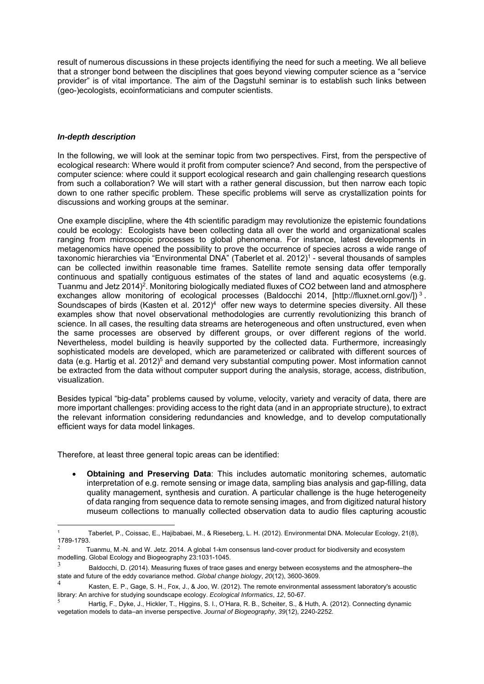result of numerous discussions in these projects identifiying the need for such a meeting. We all believe that a stronger bond between the disciplines that goes beyond viewing computer science as a "service provider" is of vital importance. The aim of the Dagstuhl seminar is to establish such links between (geo-)ecologists, ecoinformaticians and computer scientists.

### *In-depth description*

1

In the following, we will look at the seminar topic from two perspectives. First, from the perspective of ecological research: Where would it profit from computer science? And second, from the perspective of computer science: where could it support ecological research and gain challenging research questions from such a collaboration? We will start with a rather general discussion, but then narrow each topic down to one rather specific problem. These specific problems will serve as crystallization points for discussions and working groups at the seminar.

One example discipline, where the 4th scientific paradigm may revolutionize the epistemic foundations could be ecology: Ecologists have been collecting data all over the world and organizational scales ranging from microscopic processes to global phenomena. For instance, latest developments in metagenomics have opened the possibility to prove the occurrence of species across a wide range of taxonomic hierarchies via "Environmental DNA" (Taberlet et al. 2012)<sup>1</sup> - several thousands of samples can be collected inwithin reasonable time frames. Satellite remote sensing data offer temporally continuous and spatially contiguous estimates of the states of land and aquatic ecosystems (e.g. Tuanmu and Jetz 2014)<sup>2</sup>. Monitoring biologically mediated fluxes of CO2 between land and atmosphere exchanges allow monitoring of ecological processes (Baldocchi 2014, [http://fluxnet.ornl.gov/])<sup>3</sup>. Soundscapes of birds (Kasten et al. 2012)<sup>4</sup> offer new ways to determine species diversity. All these examples show that novel observational methodologies are currently revolutionizing this branch of science. In all cases, the resulting data streams are heterogeneous and often unstructured, even when the same processes are observed by different groups, or over different regions of the world. Nevertheless, model building is heavily supported by the collected data. Furthermore, increasingly sophisticated models are developed, which are parameterized or calibrated with different sources of data (e.g. Hartig et al. 2012)<sup>5</sup> and demand very substantial computing power. Most information cannot be extracted from the data without computer support during the analysis, storage, access, distribution, visualization.

Besides typical "big-data" problems caused by volume, velocity, variety and veracity of data, there are more important challenges: providing access to the right data (and in an appropriate structure), to extract the relevant information considering redundancies and knowledge, and to develop computationally efficient ways for data model linkages.

Therefore, at least three general topic areas can be identified:

 **Obtaining and Preserving Data**: This includes automatic monitoring schemes, automatic interpretation of e.g. remote sensing or image data, sampling bias analysis and gap-filling, data quality management, synthesis and curation. A particular challenge is the huge heterogeneity of data ranging from sequence data to remote sensing images, and from digitized natural history museum collections to manually collected observation data to audio files capturing acoustic

<sup>1</sup> Taberlet, P., Coissac, E., Hajibabaei, M., & Rieseberg, L. H. (2012). Environmental DNA. Molecular Ecology, 21(8), 1789-1793.

<sup>2</sup> Tuanmu, M.-N. and W. Jetz. 2014. A global 1-km consensus land-cover product for biodiversity and ecosystem modelling. Global Ecology and Biogeography 23:1031-1045.

Baldocchi, D. (2014). Measuring fluxes of trace gases and energy between ecosystems and the atmosphere–the state and future of the eddy covariance method. *Global change biology*, *20*(12), 3600-3609.

Kasten, E. P., Gage, S. H., Fox, J., & Joo, W. (2012). The remote environmental assessment laboratory's acoustic library: An archive for studying soundscape ecology. *Ecological Informatics*, *12*, 50-67.

Hartig, F., Dyke, J., Hickler, T., Higgins, S. I., O'Hara, R. B., Scheiter, S., & Huth, A. (2012). Connecting dynamic vegetation models to data–an inverse perspective. *Journal of Biogeography*, *39*(12), 2240-2252.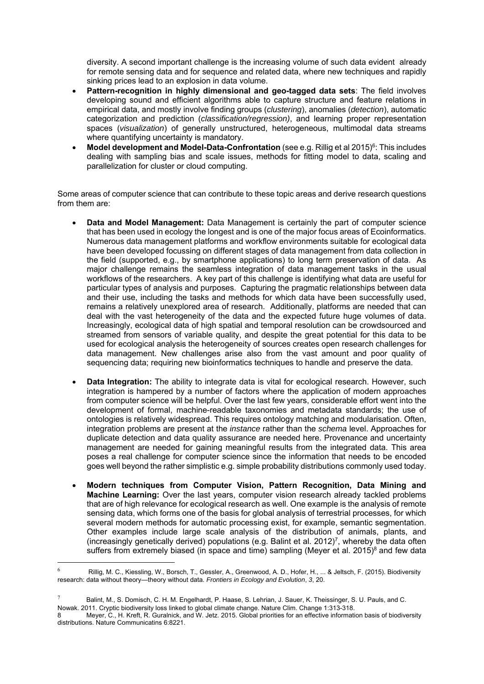diversity. A second important challenge is the increasing volume of such data evident already for remote sensing data and for sequence and related data, where new techniques and rapidly sinking prices lead to an explosion in data volume.

- **Pattern-recognition in highly dimensional and geo-tagged data sets**: The field involves developing sound and efficient algorithms able to capture structure and feature relations in empirical data, and mostly involve finding groups (*clustering*), anomalies (*detection*), automatic categorization and prediction (*classification/regression)*, and learning proper representation spaces (*visualization*) of generally unstructured, heterogeneous, multimodal data streams where quantifying uncertainty is mandatory.
- **Model development and Model-Data-Confrontation** (see e.g. Rillig et al 2015)<sup>6</sup>: This includes dealing with sampling bias and scale issues, methods for fitting model to data, scaling and parallelization for cluster or cloud computing.

Some areas of computer science that can contribute to these topic areas and derive research questions from them are:

- **Data and Model Management:** Data Management is certainly the part of computer science that has been used in ecology the longest and is one of the major focus areas of Ecoinformatics. Numerous data management platforms and workflow environments suitable for ecological data have been developed focussing on different stages of data management from data collection in the field (supported, e.g., by smartphone applications) to long term preservation of data. As major challenge remains the seamless integration of data management tasks in the usual workflows of the researchers. A key part of this challenge is identifying what data are useful for particular types of analysis and purposes. Capturing the pragmatic relationships between data and their use, including the tasks and methods for which data have been successfully used, remains a relatively unexplored area of research. Additionally, platforms are needed that can deal with the vast heterogeneity of the data and the expected future huge volumes of data. Increasingly, ecological data of high spatial and temporal resolution can be crowdsourced and streamed from sensors of variable quality, and despite the great potential for this data to be used for ecological analysis the heterogeneity of sources creates open research challenges for data management. New challenges arise also from the vast amount and poor quality of sequencing data; requiring new bioinformatics techniques to handle and preserve the data.
- **Data Integration:** The ability to integrate data is vital for ecological research. However, such integration is hampered by a number of factors where the application of modern approaches from computer science will be helpful. Over the last few years, considerable effort went into the development of formal, machine-readable taxonomies and metadata standards; the use of ontologies is relatively widespread. This requires ontology matching and modularisation. Often, integration problems are present at the *instance* rather than the *schema* level. Approaches for duplicate detection and data quality assurance are needed here. Provenance and uncertainty management are needed for gaining meaningful results from the integrated data. This area poses a real challenge for computer science since the information that needs to be encoded goes well beyond the rather simplistic e.g. simple probability distributions commonly used today.
- **Modern techniques from Computer Vision, Pattern Recognition, Data Mining and Machine Learning:** Over the last years, computer vision research already tackled problems that are of high relevance for ecological research as well. One example is the analysis of remote sensing data, which forms one of the basis for global analysis of terrestrial processes, for which several modern methods for automatic processing exist, for example, semantic segmentation. Other examples include large scale analysis of the distribution of animals, plants, and (increasingly genetically derived) populations (e.g. Balint et al. 2012)7, whereby the data often suffers from extremely biased (in space and time) sampling (Meyer et al. 2015)<sup>8</sup> and few data

<u>.</u>

Rillig, M. C., Kiessling, W., Borsch, T., Gessler, A., Greenwood, A. D., Hofer, H., ... & Jeltsch, F. (2015). Biodiversity research: data without theory—theory without data. *Frontiers in Ecology and Evolution*, *3*, 20.

<sup>7</sup> Balint, M., S. Domisch, C. H. M. Engelhardt, P. Haase, S. Lehrian, J. Sauer, K. Theissinger, S. U. Pauls, and C.

Nowak. 2011. Cryptic biodiversity loss linked to global climate change. Nature Clim. Change 1:313-318.

Meyer, C., H. Kreft, R. Guralnick, and W. Jetz. 2015. Global priorities for an effective information basis of biodiversity distributions. Nature Communicatins 6:8221.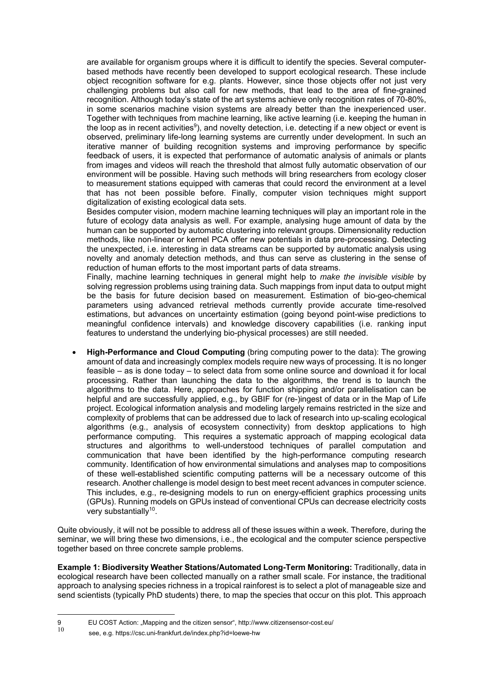are available for organism groups where it is difficult to identify the species. Several computerbased methods have recently been developed to support ecological research. These include object recognition software for e.g. plants. However, since those objects offer not just very challenging problems but also call for new methods, that lead to the area of fine-grained recognition. Although today's state of the art systems achieve only recognition rates of 70-80%, in some scenarios machine vision systems are already better than the inexperienced user. Together with techniques from machine learning, like active learning (i.e. keeping the human in the loop as in recent activities<sup>9</sup>), and novelty detection, i.e. detecting if a new object or event is observed, preliminary life-long learning systems are currently under development. In such an iterative manner of building recognition systems and improving performance by specific feedback of users, it is expected that performance of automatic analysis of animals or plants from images and videos will reach the threshold that almost fully automatic observation of our environment will be possible. Having such methods will bring researchers from ecology closer to measurement stations equipped with cameras that could record the environment at a level that has not been possible before. Finally, computer vision techniques might support digitalization of existing ecological data sets.

Besides computer vision, modern machine learning techniques will play an important role in the future of ecology data analysis as well. For example, analysing huge amount of data by the human can be supported by automatic clustering into relevant groups. Dimensionality reduction methods, like non-linear or kernel PCA offer new potentials in data pre-processing. Detecting the unexpected, i.e. interesting in data streams can be supported by automatic analysis using novelty and anomaly detection methods, and thus can serve as clustering in the sense of reduction of human efforts to the most important parts of data streams.

Finally, machine learning techniques in general might help to *make the invisible visible* by solving regression problems using training data. Such mappings from input data to output might be the basis for future decision based on measurement. Estimation of bio-geo-chemical parameters using advanced retrieval methods currently provide accurate time-resolved estimations, but advances on uncertainty estimation (going beyond point-wise predictions to meaningful confidence intervals) and knowledge discovery capabilities (i.e. ranking input features to understand the underlying bio-physical processes) are still needed.

 **High-Performance and Cloud Computing** (bring computing power to the data): The growing amount of data and increasingly complex models require new ways of processing. It is no longer feasible – as is done today – to select data from some online source and download it for local processing. Rather than launching the data to the algorithms, the trend is to launch the algorithms to the data. Here, approaches for function shipping and/or parallelisation can be helpful and are successfully applied, e.g., by GBIF for (re-)ingest of data or in the Map of Life project. Ecological information analysis and modeling largely remains restricted in the size and complexity of problems that can be addressed due to lack of research into up-scaling ecological algorithms (e.g., analysis of ecosystem connectivity) from desktop applications to high performance computing. This requires a systematic approach of mapping ecological data structures and algorithms to well-understood techniques of parallel computation and communication that have been identified by the high-performance computing research community. Identification of how environmental simulations and analyses map to compositions of these well-established scientific computing patterns will be a necessary outcome of this research. Another challenge is model design to best meet recent advances in computer science. This includes, e.g., re-designing models to run on energy-efficient graphics processing units (GPUs). Running models on GPUs instead of conventional CPUs can decrease electricity costs very substantially<sup>10</sup>.

Quite obviously, it will not be possible to address all of these issues within a week. Therefore, during the seminar, we will bring these two dimensions, i.e., the ecological and the computer science perspective together based on three concrete sample problems.

**Example 1: Biodiversity Weather Stations/Automated Long-Term Monitoring:** Traditionally, data in ecological research have been collected manually on a rather small scale. For instance, the traditional approach to analysing species richness in a tropical rainforest is to select a plot of manageable size and send scientists (typically PhD students) there, to map the species that occur on this plot. This approach

1

<sup>9</sup> EU COST Action: "Mapping and the citizen sensor", http://www.citizensensor-cost.eu/<br>10

see, e.g. https://csc.uni-frankfurt.de/index.php?id=loewe-hw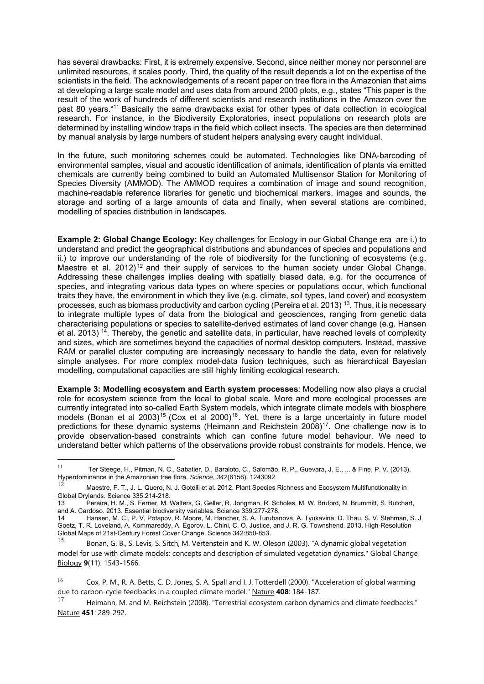has several drawbacks: First, it is extremely expensive. Second, since neither money nor personnel are unlimited resources, it scales poorly. Third, the quality of the result depends a lot on the expertise of the scientists in the field. The acknowledgements of a recent paper on tree flora in the Amazonian that aims at developing a large scale model and uses data from around 2000 plots, e.g., states "This paper is the result of the work of hundreds of different scientists and research institutions in the Amazon over the past 80 years."11 Basically the same drawbacks exist for other types of data collection in ecological research. For instance, in the Biodiversity Exploratories, insect populations on research plots are determined by installing window traps in the field which collect insects. The species are then determined by manual analysis by large numbers of student helpers analysing every caught individual.

In the future, such monitoring schemes could be automated. Technologies like DNA-barcoding of environmental samples, visual and acoustic identification of animals, identification of plants via emitted chemicals are currently being combined to build an Automated Multisensor Station for Monitoring of Species Diversity (AMMOD). The AMMOD requires a combination of image and sound recognition, machine-readable reference libraries for genetic und biochemical markers, images and sounds, the storage and sorting of a large amounts of data and finally, when several stations are combined, modelling of species distribution in landscapes.

**Example 2: Global Change Ecology:** Key challenges for Ecology in our Global Change era are i.) to understand and predict the geographical distributions and abundances of species and populations and ii.) to improve our understanding of the role of biodiversity for the functioning of ecosystems (e.g. Maestre et al. 2012)<sup>12</sup> and their supply of services to the human society under Global Change. Addressing these challenges implies dealing with spatially biased data, e.g. for the occurrence of species, and integrating various data types on where species or populations occur, which functional traits they have, the environment in which they live (e.g. climate, soil types, land cover) and ecosystem processes, such as biomass productivity and carbon cycling (Pereira et al. 2013) 13. Thus, it is necessary to integrate multiple types of data from the biological and geosciences, ranging from genetic data characterising populations or species to satellite-derived estimates of land cover change (e.g. Hansen et al. 2013) <sup>14</sup>. Thereby, the genetic and satellite data, in particular, have reached levels of complexity and sizes, which are sometimes beyond the capacities of normal desktop computers. Instead, massive RAM or parallel cluster computing are increasingly necessary to handle the data, even for relatively simple analyses. For more complex model-data fusion techniques, such as hierarchical Bayesian modelling, computational capacities are still highly limiting ecological research.

**Example 3: Modelling ecosystem and Earth system processes**: Modelling now also plays a crucial role for ecosystem science from the local to global scale. More and more ecological processes are currently integrated into so-called Earth System models, which integrate climate models with biosphere models (Bonan et al 2003)<sup>15</sup> (Cox et al 2000)<sup>16</sup>. Yet, there is a large uncertainty in future model predictions for these dynamic systems (Heimann and Reichstein 2008)<sup>17</sup>. One challenge now is to provide observation-based constraints which can confine future model behaviour. We need to understand better which patterns of the observations provide robust constraints for models. Hence, we

1

<sup>11</sup> Ter Steege, H., Pitman, N. C., Sabatier, D., Baraloto, C., Salomão, R. P., Guevara, J. E., ... & Fine, P. V. (2013). Hyperdominance in the Amazonian tree flora. *Science*, *342*(6156), 1243092.

<sup>12</sup> Maestre, F. T., J. L. Quero, N. J. Gotelli et al. 2012. Plant Species Richness and Ecosystem Multifunctionality in Global Drylands. Science 335:214-218.<br>13 Pereira, H. M., S. Ferrier, M. \

<sup>13</sup> Pereira, H. M., S. Ferrier, M. Walters, G. Geller, R. Jongman, R. Scholes, M. W. Bruford, N. Brummitt, S. Butchart, and A. Cardoso. 2013. Essential biodiversity variables. Science 339:277-278.

<sup>14</sup> Hansen, M. C., P. V. Potapov, R. Moore, M. Hancher, S. A. Turubanova, A. Tyukavina, D. Thau, S. V. Stehman, S. J. Goetz, T. R. Loveland, A. Kommareddy, A. Egorov, L. Chini, C. O. Justice, and J. R. G. Townshend. 2013. High-Resolution Global Maps of 21st-Century Forest Cover Change. Science 342:850-853.

<sup>15</sup> Bonan, G. B., S. Levis, S. Sitch, M. Vertenstein and K. W. Oleson (2003). "A dynamic global vegetation model for use with climate models: concepts and description of simulated vegetation dynamics." Global Change Biology **9**(11): 1543-1566.

<sup>16</sup> Cox, P. M., R. A. Betts, C. D. Jones, S. A. Spall and I. J. Totterdell (2000). "Acceleration of global warming due to carbon-cycle feedbacks in a coupled climate model." Nature **408**: 184-187.

Heimann, M. and M. Reichstein (2008). "Terrestrial ecosystem carbon dynamics and climate feedbacks." Nature **451**: 289-292.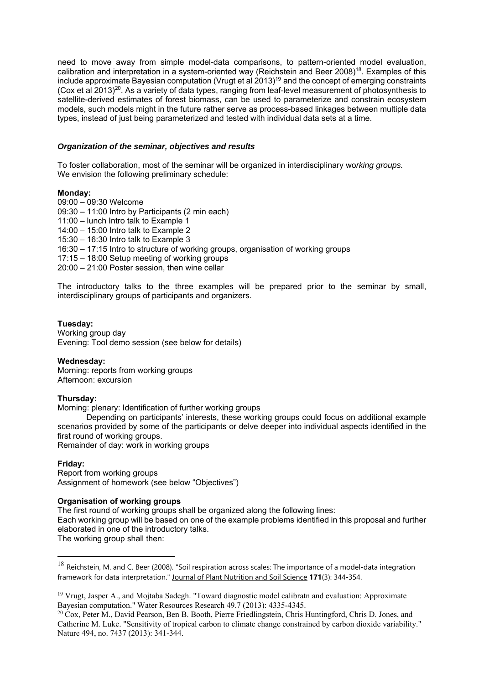need to move away from simple model-data comparisons, to pattern-oriented model evaluation, calibration and interpretation in a system-oriented way (Reichstein and Beer 2008)18. Examples of this include approximate Bayesian computation (Vrugt et al 2013)19 and the concept of emerging constraints (Cox et al 2013)<sup>20</sup>. As a variety of data types, ranging from leaf-level measurement of photosynthesis to satellite-derived estimates of forest biomass, can be used to parameterize and constrain ecosystem models, such models might in the future rather serve as process-based linkages between multiple data types, instead of just being parameterized and tested with individual data sets at a time.

### *Organization of the seminar, objectives and results*

To foster collaboration, most of the seminar will be organized in interdisciplinary wo*rking groups.*  We envision the following preliminary schedule:

### **Monday:**

09:00 – 09:30 Welcome 09:30 – 11:00 Intro by Participants (2 min each) 11:00 – lunch Intro talk to Example 1 14:00 – 15:00 Intro talk to Example 2 15:30 – 16:30 Intro talk to Example 3 16:30 – 17:15 Intro to structure of working groups, organisation of working groups 17:15 – 18:00 Setup meeting of working groups 20:00 – 21:00 Poster session, then wine cellar

The introductory talks to the three examples will be prepared prior to the seminar by small, interdisciplinary groups of participants and organizers.

### **Tuesday:**

Working group day Evening: Tool demo session (see below for details)

#### **Wednesday:**

Morning: reports from working groups Afternoon: excursion

#### **Thursday:**

Morning: plenary: Identification of further working groups

 Depending on participants' interests, these working groups could focus on additional example scenarios provided by some of the participants or delve deeper into individual aspects identified in the first round of working groups.

Remainder of day: work in working groups

# **Friday:**

1

Report from working groups Assignment of homework (see below "Objectives")

# **Organisation of working groups**

The first round of working groups shall be organized along the following lines: Each working group will be based on one of the example problems identified in this proposal and further elaborated in one of the introductory talks. The working group shall then:

 $18$  Reichstein, M. and C. Beer (2008). "Soil respiration across scales: The importance of a model-data integration framework for data interpretation." Journal of Plant Nutrition and Soil Science **171**(3): 344-354.

<sup>&</sup>lt;sup>19</sup> Vrugt, Jasper A., and Mojtaba Sadegh. "Toward diagnostic model calibratn and evaluation: Approximate Bayesian computation." Water Resources Research 49.7 (2013): 4335-4345.

<sup>20</sup> Cox, Peter M., David Pearson, Ben B. Booth, Pierre Friedlingstein, Chris Huntingford, Chris D. Jones, and Catherine M. Luke. "Sensitivity of tropical carbon to climate change constrained by carbon dioxide variability." Nature 494, no. 7437 (2013): 341-344.